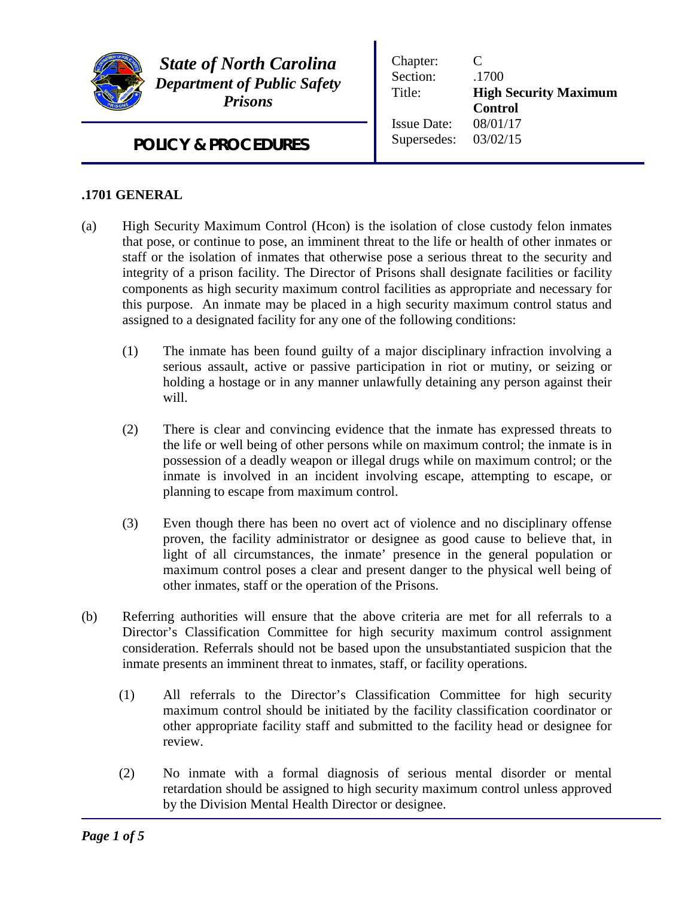

*State of North Carolina Department of Public Safety Prisons*

Chapter: C Section: .1700 Title: **High Security Maximum Control** Issue Date: 08/01/17 Supersedes: 03/02/15

# *POLICY & PROCEDURES*

## **.1701 GENERAL**

- (a) High Security Maximum Control (Hcon) is the isolation of close custody felon inmates that pose, or continue to pose, an imminent threat to the life or health of other inmates or staff or the isolation of inmates that otherwise pose a serious threat to the security and integrity of a prison facility. The Director of Prisons shall designate facilities or facility components as high security maximum control facilities as appropriate and necessary for this purpose. An inmate may be placed in a high security maximum control status and assigned to a designated facility for any one of the following conditions:
	- (1) The inmate has been found guilty of a major disciplinary infraction involving a serious assault, active or passive participation in riot or mutiny, or seizing or holding a hostage or in any manner unlawfully detaining any person against their will.
	- (2) There is clear and convincing evidence that the inmate has expressed threats to the life or well being of other persons while on maximum control; the inmate is in possession of a deadly weapon or illegal drugs while on maximum control; or the inmate is involved in an incident involving escape, attempting to escape, or planning to escape from maximum control.
	- (3) Even though there has been no overt act of violence and no disciplinary offense proven, the facility administrator or designee as good cause to believe that, in light of all circumstances, the inmate' presence in the general population or maximum control poses a clear and present danger to the physical well being of other inmates, staff or the operation of the Prisons.
- (b) Referring authorities will ensure that the above criteria are met for all referrals to a Director's Classification Committee for high security maximum control assignment consideration. Referrals should not be based upon the unsubstantiated suspicion that the inmate presents an imminent threat to inmates, staff, or facility operations.
	- (1) All referrals to the Director's Classification Committee for high security maximum control should be initiated by the facility classification coordinator or other appropriate facility staff and submitted to the facility head or designee for review.
	- (2) No inmate with a formal diagnosis of serious mental disorder or mental retardation should be assigned to high security maximum control unless approved by the Division Mental Health Director or designee.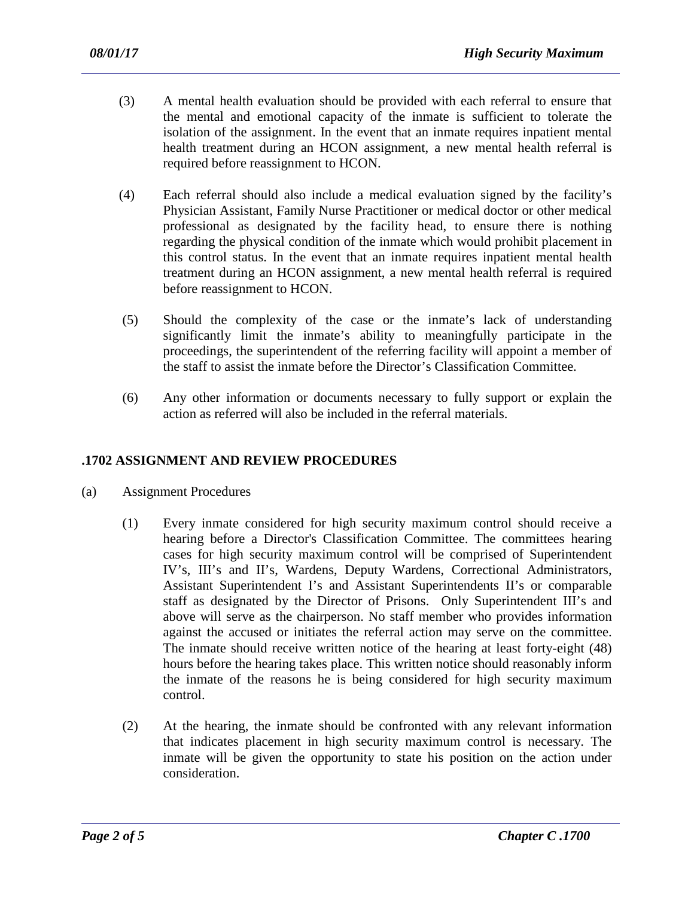- (3) A mental health evaluation should be provided with each referral to ensure that the mental and emotional capacity of the inmate is sufficient to tolerate the isolation of the assignment. In the event that an inmate requires inpatient mental health treatment during an HCON assignment, a new mental health referral is required before reassignment to HCON.
- (4) Each referral should also include a medical evaluation signed by the facility's Physician Assistant, Family Nurse Practitioner or medical doctor or other medical professional as designated by the facility head, to ensure there is nothing regarding the physical condition of the inmate which would prohibit placement in this control status. In the event that an inmate requires inpatient mental health treatment during an HCON assignment, a new mental health referral is required before reassignment to HCON.
- (5) Should the complexity of the case or the inmate's lack of understanding significantly limit the inmate's ability to meaningfully participate in the proceedings, the superintendent of the referring facility will appoint a member of the staff to assist the inmate before the Director's Classification Committee.
- (6) Any other information or documents necessary to fully support or explain the action as referred will also be included in the referral materials.

## **.1702 ASSIGNMENT AND REVIEW PROCEDURES**

- (a) Assignment Procedures
	- (1) Every inmate considered for high security maximum control should receive a hearing before a Director's Classification Committee. The committees hearing cases for high security maximum control will be comprised of Superintendent IV's, III's and II's, Wardens, Deputy Wardens, Correctional Administrators, Assistant Superintendent I's and Assistant Superintendents II's or comparable staff as designated by the Director of Prisons. Only Superintendent III's and above will serve as the chairperson. No staff member who provides information against the accused or initiates the referral action may serve on the committee. The inmate should receive written notice of the hearing at least forty-eight (48) hours before the hearing takes place. This written notice should reasonably inform the inmate of the reasons he is being considered for high security maximum control.
	- (2) At the hearing, the inmate should be confronted with any relevant information that indicates placement in high security maximum control is necessary. The inmate will be given the opportunity to state his position on the action under consideration.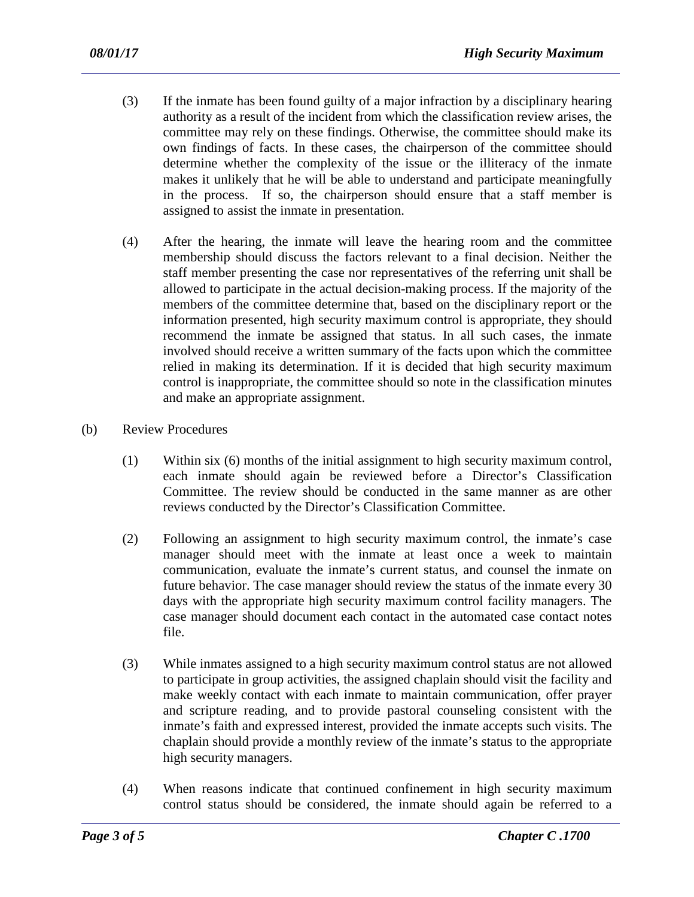- (3) If the inmate has been found guilty of a major infraction by a disciplinary hearing authority as a result of the incident from which the classification review arises, the committee may rely on these findings. Otherwise, the committee should make its own findings of facts. In these cases, the chairperson of the committee should determine whether the complexity of the issue or the illiteracy of the inmate makes it unlikely that he will be able to understand and participate meaningfully in the process. If so, the chairperson should ensure that a staff member is assigned to assist the inmate in presentation.
- (4) After the hearing, the inmate will leave the hearing room and the committee membership should discuss the factors relevant to a final decision. Neither the staff member presenting the case nor representatives of the referring unit shall be allowed to participate in the actual decision-making process. If the majority of the members of the committee determine that, based on the disciplinary report or the information presented, high security maximum control is appropriate, they should recommend the inmate be assigned that status. In all such cases, the inmate involved should receive a written summary of the facts upon which the committee relied in making its determination. If it is decided that high security maximum control is inappropriate, the committee should so note in the classification minutes and make an appropriate assignment.
- (b) Review Procedures
	- (1) Within six (6) months of the initial assignment to high security maximum control, each inmate should again be reviewed before a Director's Classification Committee. The review should be conducted in the same manner as are other reviews conducted by the Director's Classification Committee.
	- (2) Following an assignment to high security maximum control, the inmate's case manager should meet with the inmate at least once a week to maintain communication, evaluate the inmate's current status, and counsel the inmate on future behavior. The case manager should review the status of the inmate every 30 days with the appropriate high security maximum control facility managers. The case manager should document each contact in the automated case contact notes file.
	- (3) While inmates assigned to a high security maximum control status are not allowed to participate in group activities, the assigned chaplain should visit the facility and make weekly contact with each inmate to maintain communication, offer prayer and scripture reading, and to provide pastoral counseling consistent with the inmate's faith and expressed interest, provided the inmate accepts such visits. The chaplain should provide a monthly review of the inmate's status to the appropriate high security managers.
	- (4) When reasons indicate that continued confinement in high security maximum control status should be considered, the inmate should again be referred to a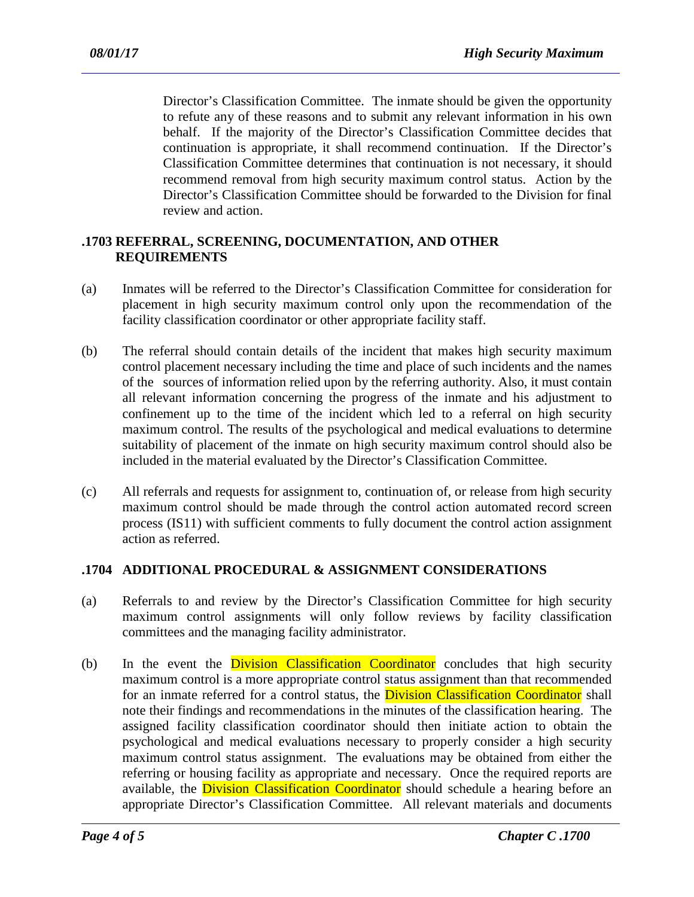Director's Classification Committee. The inmate should be given the opportunity to refute any of these reasons and to submit any relevant information in his own behalf. If the majority of the Director's Classification Committee decides that continuation is appropriate, it shall recommend continuation. If the Director's Classification Committee determines that continuation is not necessary, it should recommend removal from high security maximum control status. Action by the Director's Classification Committee should be forwarded to the Division for final review and action.

## **.1703 REFERRAL, SCREENING, DOCUMENTATION, AND OTHER REQUIREMENTS**

- (a) Inmates will be referred to the Director's Classification Committee for consideration for placement in high security maximum control only upon the recommendation of the facility classification coordinator or other appropriate facility staff.
- (b) The referral should contain details of the incident that makes high security maximum control placement necessary including the time and place of such incidents and the names of the sources of information relied upon by the referring authority. Also, it must contain all relevant information concerning the progress of the inmate and his adjustment to confinement up to the time of the incident which led to a referral on high security maximum control. The results of the psychological and medical evaluations to determine suitability of placement of the inmate on high security maximum control should also be included in the material evaluated by the Director's Classification Committee.
- (c) All referrals and requests for assignment to, continuation of, or release from high security maximum control should be made through the control action automated record screen process (IS11) with sufficient comments to fully document the control action assignment action as referred.

## **.1704 ADDITIONAL PROCEDURAL & ASSIGNMENT CONSIDERATIONS**

- (a) Referrals to and review by the Director's Classification Committee for high security maximum control assignments will only follow reviews by facility classification committees and the managing facility administrator.
- (b) In the event the **Division Classification Coordinator** concludes that high security maximum control is a more appropriate control status assignment than that recommended for an inmate referred for a control status, the **Division Classification Coordinator** shall note their findings and recommendations in the minutes of the classification hearing. The assigned facility classification coordinator should then initiate action to obtain the psychological and medical evaluations necessary to properly consider a high security maximum control status assignment. The evaluations may be obtained from either the referring or housing facility as appropriate and necessary. Once the required reports are available, the **Division Classification Coordinator** should schedule a hearing before an appropriate Director's Classification Committee. All relevant materials and documents